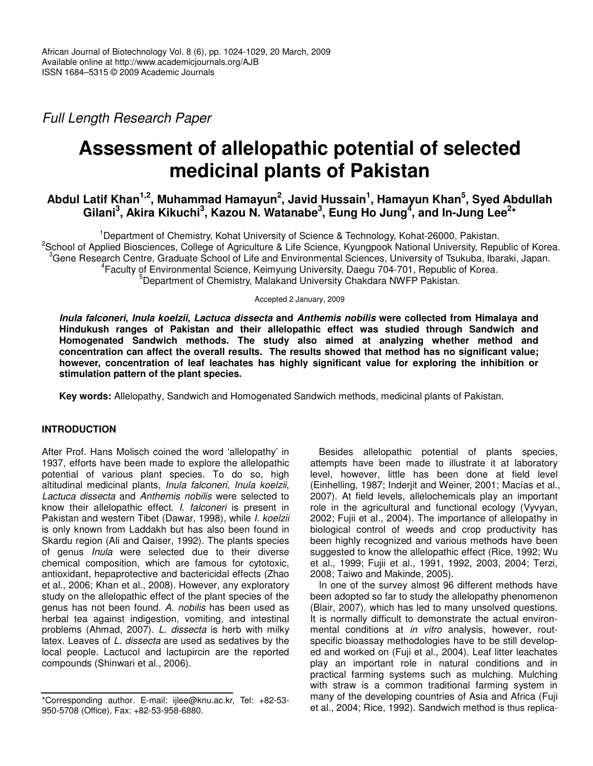*Full Length Research Paper*

# **Assessment of allelopathic potential of selected medicinal plants of Pakistan**

# Abdul Latif Khan<sup>1,2</sup>, Muhammad Hamayun<sup>2</sup>, Javid Hussain<sup>1</sup>, Hamayun Khan<sup>5</sup>, Syed Abdullah Gilani<sup>3</sup>, Akira Kikuchi<sup>3</sup>, Kazou N. Watanabe<sup>3</sup>, Eung Ho Jung<sup>4</sup>, and In-Jung Lee<sup>2</sup>\*

<sup>1</sup>Department of Chemistry, Kohat University of Science & Technology, Kohat-26000, Pakistan. <sup>2</sup>School of Applied Biosciences, College of Agriculture & Life Science, Kyungpook National University, Republic of Korea. <sup>3</sup>Gene Research Centre, Graduate School of Life and Environmental Sciences, University of Tsukuba, Ibaraki, Japan. 4 Faculty of Environmental Science, Keimyung University, Daegu 704-701, Republic of Korea. <sup>5</sup>Department of Chemistry, Malakand University Chakdara NWFP Pakistan.

Accepted 2 January, 2009

*Inula falconeri***,** *Inula koelzii***,** *Lactuca dissecta* **and** *Anthemis nobilis* **were collected from Himalaya and Hindukush ranges of Pakistan and their allelopathic effect was studied through Sandwich and Homogenated Sandwich methods. The study also aimed at analyzing whether method and concentration can affect the overall results. The results showed that method has no significant value; however, concentration of leaf leachates has highly significant value for exploring the inhibition or stimulation pattern of the plant species.**

**Key words:** Allelopathy, Sandwich and Homogenated Sandwich methods, medicinal plants of Pakistan.

# **INTRODUCTION**

After Prof. Hans Molisch coined the word 'allelopathy' in 1937, efforts have been made to explore the allelopathic potential of various plant species. To do so, high altitudinal medicinal plants, *Inula falconeri*, *Inula koelzii*, *Lactuca dissecta* and *Anthemis nobilis* were selected to know their allelopathic effect. *I. falconeri* is present in Pakistan and western Tibet (Dawar, 1998), while *I. koelzii* is only known from Laddakh but has also been found in Skardu region (Ali and Qaiser, 1992). The plants species of genus *Inula* were selected due to their diverse chemical composition, which are famous for cytotoxic, antioxidant, hepaprotective and bactericidal effects (Zhao et al., 2006; Khan et al., 2008). However, any exploratory study on the allelopathic effect of the plant species of the genus has not been found. *A. nobilis* has been used as herbal tea against indigestion, vomiting, and intestinal problems (Ahmad, 2007). *L. dissecta* is herb with milky latex. Leaves of *L. dissecta* are used as sedatives by the local people. Lactucol and lactupircin are the reported compounds (Shinwari et al., 2006).

Besides allelopathic potential of plants species, attempts have been made to illustrate it at laboratory level, however, little has been done at field level (Einhelling, 1987; Inderjit and Weiner, 2001; Macías et al., 2007). At field levels, allelochemicals play an important role in the agricultural and functional ecology (Vyvyan, 2002; Fujii et al*.*, 2004). The importance of allelopathy in biological control of weeds and crop productivity has been highly recognized and various methods have been suggested to know the allelopathic effect (Rice, 1992; Wu et al., 1999; Fujii et al., 1991, 1992, 2003, 2004; Terzi, 2008; Taiwo and Makinde, 2005).

In one of the survey almost 96 different methods have been adopted so far to study the allelopathy phenomenon (Blair, 2007), which has led to many unsolved questions. It is normally difficult to demonstrate the actual environmental conditions at *in vitro* analysis, however, routspecific bioassay methodologies have to be still developed and worked on (Fuji et al., 2004). Leaf litter leachates play an important role in natural conditions and in practical farming systems such as mulching. Mulching with straw is a common traditional farming system in many of the developing countries of Asia and Africa (Fuji et al., 2004; Rice, 1992). Sandwich method is thus replica-

<sup>\*</sup>Corresponding author. E-mail: ijlee@knu.ac.kr, Tel: +82-53- 950-5708 (Office), Fax: +82-53-958-6880.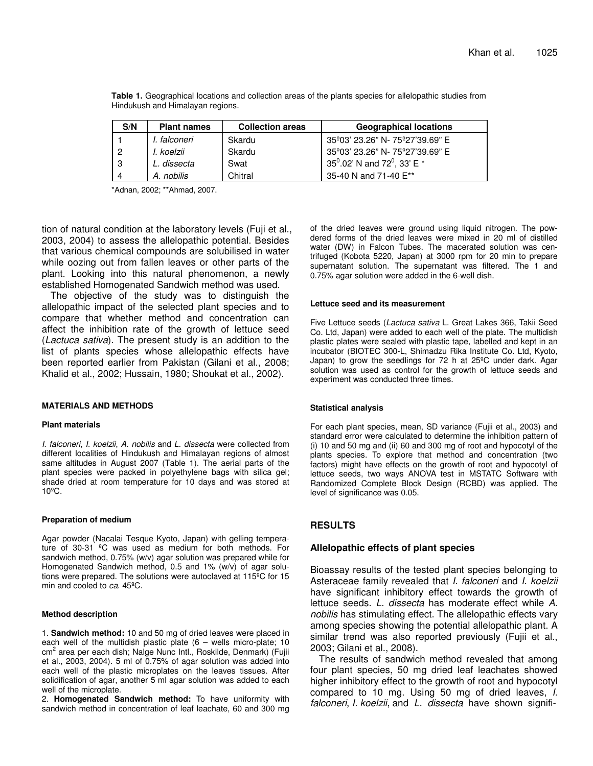| S/N                      | <b>Plant names</b> | <b>Collection areas</b> | <b>Geographical locations</b>        |
|--------------------------|--------------------|-------------------------|--------------------------------------|
|                          | I. falconeri       | Skardu                  | 35° 03' 23.26" N - 75° 27' 39.69" E  |
| -2                       | I. koelzii         | Skardu                  | 35°03' 23.26" N- 75°27'39.69" E      |
| - 3                      | L. dissecta        | Swat                    | 35 $^0.02$ ' N and 72 $^0$ , 33' E * |
| $\boldsymbol{\varDelta}$ | A. nobilis         | Chitral                 | 35-40 N and 71-40 E**                |

**Table 1.** Geographical locations and collection areas of the plants species for allelopathic studies from Hindukush and Himalayan regions.

\*Adnan, 2002; \*\*Ahmad, 2007.

tion of natural condition at the laboratory levels (Fuji et al., 2003, 2004) to assess the allelopathic potential. Besides that various chemical compounds are solubilised in water while oozing out from fallen leaves or other parts of the plant. Looking into this natural phenomenon, a newly established Homogenated Sandwich method was used.

The objective of the study was to distinguish the allelopathic impact of the selected plant species and to compare that whether method and concentration can affect the inhibition rate of the growth of lettuce seed (*Lactuca sativa*). The present study is an addition to the list of plants species whose allelopathic effects have been reported earlier from Pakistan (Gilani et al., 2008; Khalid et al., 2002; Hussain, 1980; Shoukat et al., 2002).

#### **MATERIALS AND METHODS**

#### **Plant materials**

*I. falconeri*, *I. koelzii*, *A. nobilis* and *L. dissecta* were collected from different localities of Hindukush and Himalayan regions of almost same altitudes in August 2007 (Table 1). The aerial parts of the plant species were packed in polyethylene bags with silica gel; shade dried at room temperature for 10 days and was stored at 10ºC.

#### **Preparation of medium**

Agar powder (Nacalai Tesque Kyoto, Japan) with gelling temperature of 30-31 ºC was used as medium for both methods. For sandwich method, 0.75% (w/v) agar solution was prepared while for Homogenated Sandwich method, 0.5 and 1% (w/v) of agar solutions were prepared. The solutions were autoclaved at 115ºC for 15 min and cooled to *ca*. 45ºC.

#### **Method description**

1. **Sandwich method:** 10 and 50 mg of dried leaves were placed in each well of the multidish plastic plate  $(6 -$  wells micro-plate; 10 cm<sup>2</sup> area per each dish; Nalge Nunc Intl., Roskilde, Denmark) (Fujii et al., 2003, 2004). 5 ml of 0.75% of agar solution was added into each well of the plastic microplates on the leaves tissues. After solidification of agar, another 5 ml agar solution was added to each well of the microplate.

2. **Homogenated Sandwich method:** To have uniformity with sandwich method in concentration of leaf leachate, 60 and 300 mg of the dried leaves were ground using liquid nitrogen. The powdered forms of the dried leaves were mixed in 20 ml of distilled water (DW) in Falcon Tubes. The macerated solution was centrifuged (Kobota 5220, Japan) at 3000 rpm for 20 min to prepare supernatant solution. The supernatant was filtered. The 1 and 0.75% agar solution were added in the 6-well dish.

#### **Lettuce seed and its measurement**

Five Lettuce seeds (*Lactuca sativa* L. Great Lakes 366, Takii Seed Co. Ltd, Japan) were added to each well of the plate. The multidish plastic plates were sealed with plastic tape, labelled and kept in an incubator (BIOTEC 300-L, Shimadzu Rika Institute Co. Ltd, Kyoto, Japan) to grow the seedlings for 72 h at 25ºC under dark. Agar solution was used as control for the growth of lettuce seeds and experiment was conducted three times.

#### **Statistical analysis**

For each plant species, mean, SD variance (Fujii et al., 2003) and standard error were calculated to determine the inhibition pattern of (i) 10 and 50 mg and (ii) 60 and 300 mg of root and hypocotyl of the plants species. To explore that method and concentration (two factors) might have effects on the growth of root and hypocotyl of lettuce seeds, two ways ANOVA test in MSTATC Software with Randomized Complete Block Design (RCBD) was applied. The level of significance was 0.05.

## **RESULTS**

#### **Allelopathic effects of plant species**

Bioassay results of the tested plant species belonging to Asteraceae family revealed that *I. falconeri* and *I. koelzii* have significant inhibitory effect towards the growth of lettuce seeds. *L. dissecta* has moderate effect while *A. nobilis* has stimulating effect. The allelopathic effects vary among species showing the potential allelopathic plant. A similar trend was also reported previously (Fujii et al., 2003; Gilani et al., 2008).

The results of sandwich method revealed that among four plant species, 50 mg dried leaf leachates showed higher inhibitory effect to the growth of root and hypocotyl compared to 10 mg. Using 50 mg of dried leaves, *I. falconeri*, *I. koelzii*, and *L. dissecta* have shown signifi-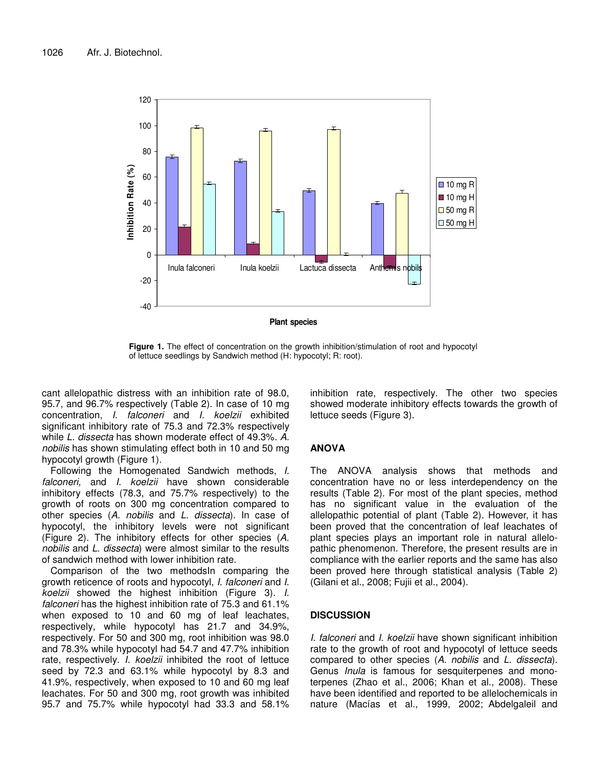

**Figure 1.** The effect of concentration on the growth inhibition/stimulation of root and hypocotyl of lettuce seedlings by Sandwich method (H: hypocotyl; R: root).

cant allelopathic distress with an inhibition rate of 98.0, 95.7, and 96.7% respectively (Table 2). In case of 10 mg concentration, *I. falconeri* and *I. koelzii* exhibited significant inhibitory rate of 75.3 and 72.3% respectively while *L. dissecta* has shown moderate effect of 49.3%. *A. nobilis* has shown stimulating effect both in 10 and 50 mg hypocotyl growth (Figure 1).

Following the Homogenated Sandwich methods, *I. falconeri,* and *I. koelzii* have shown considerable inhibitory effects (78.3, and 75.7% respectively) to the growth of roots on 300 mg concentration compared to other species (*A. nobilis* and *L. dissecta*). In case of hypocotyl, the inhibitory levels were not significant (Figure 2). The inhibitory effects for other species (*A. nobilis* and *L. dissecta*) were almost similar to the results of sandwich method with lower inhibition rate.

Comparison of the two methodsIn comparing the growth reticence of roots and hypocotyl, *I. falconeri* and *I. koelzii* showed the highest inhibition (Figure 3). *I. falconeri* has the highest inhibition rate of 75.3 and 61.1% when exposed to 10 and 60 mg of leaf leachates, respectively, while hypocotyl has 21.7 and 34.9%, respectively. For 50 and 300 mg, root inhibition was 98.0 and 78.3% while hypocotyl had 54.7 and 47.7% inhibition rate, respectively. *I. koelzii* inhibited the root of lettuce seed by 72.3 and 63.1% while hypocotyl by 8.3 and 41.9%, respectively, when exposed to 10 and 60 mg leaf leachates. For 50 and 300 mg, root growth was inhibited 95.7 and 75.7% while hypocotyl had 33.3 and 58.1%

inhibition rate, respectively. The other two species showed moderate inhibitory effects towards the growth of lettuce seeds (Figure 3).

## **ANOVA**

The ANOVA analysis shows that methods and concentration have no or less interdependency on the results (Table 2). For most of the plant species, method has no significant value in the evaluation of the allelopathic potential of plant (Table 2). However, it has been proved that the concentration of leaf leachates of plant species plays an important role in natural allelopathic phenomenon. Therefore, the present results are in compliance with the earlier reports and the same has also been proved here through statistical analysis (Table 2) (Gilani et al., 2008; Fujii et al., 2004).

# **DISCUSSION**

*I. falconeri* and *I. koelzii* have shown significant inhibition rate to the growth of root and hypocotyl of lettuce seeds compared to other species (*A. nobilis* and *L. dissecta*). Genus *Inula* is famous for sesquiterpenes and monoterpenes (Zhao et al., 2006; Khan et al., 2008). These have been identified and reported to be allelochemicals in nature (Macías et al., 1999, 2002; Abdelgaleil and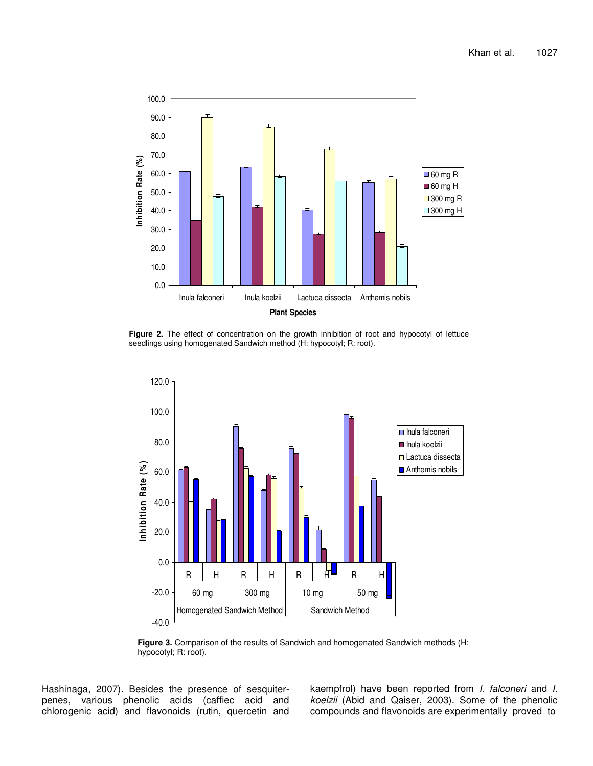

**Figure 2.** The effect of concentration on the growth inhibition of root and hypocotyl of lettuce seedlings using homogenated Sandwich method (H: hypocotyl; R: root).



**Figure 3.** Comparison of the results of Sandwich and homogenated Sandwich methods (H: hypocotyl; R: root).

Hashinaga, 2007). Besides the presence of sesquiterpenes, various phenolic acids (caffiec acid and chlorogenic acid) and flavonoids (rutin, quercetin and kaempfrol) have been reported from *I. falconeri* and *I. koelzii* (Abid and Qaiser, 2003). Some of the phenolic compounds and flavonoids are experimentally proved to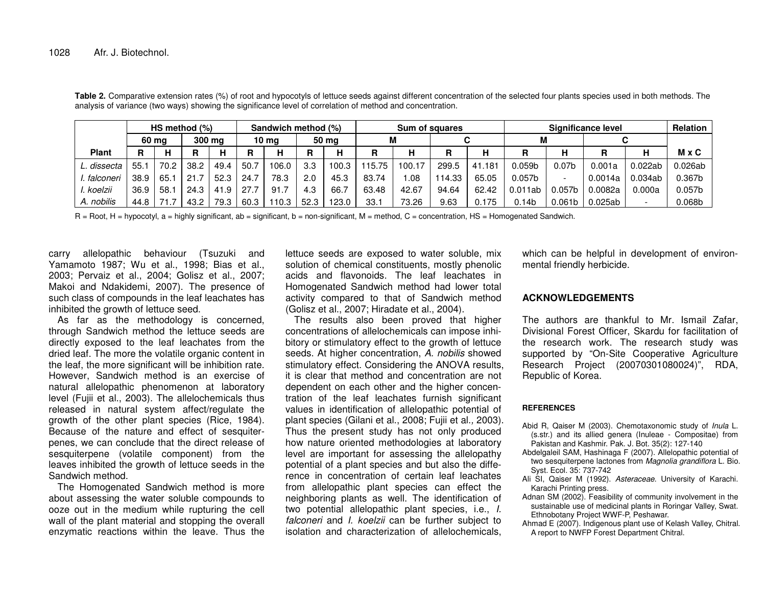|              | HS method (%) |      | Sandwich method (%) |      |      | Sum of squares |      |       | Significance level |        |       |        | <b>Relation</b>    |                          |         |         |                    |
|--------------|---------------|------|---------------------|------|------|----------------|------|-------|--------------------|--------|-------|--------|--------------------|--------------------------|---------|---------|--------------------|
|              | 60 ma         |      | 300 mg              |      |      | 50 ma<br>10 ma |      |       | М                  |        |       |        |                    |                          |         |         |                    |
| <b>Plant</b> | R             | н    | R                   |      | R    | н              | R    | н     |                    | н      | D     | н      |                    | н                        | R       |         | <b>M</b> x C       |
| L. dissecta  | 55.           | 70.2 | 38.2                | 49.4 | 50.  | 106.0          | 3.3  | 100.3 | 115.75             | 100.17 | 299.5 | 41.181 | 0.059 <sub>b</sub> | 0.07 <sub>b</sub>        | 0.001a  | 0.022ab | 0.026ab            |
| . falconeri  | 38.9          | 65.  | 21.7                | 52.3 | 24.7 | 78.3           | 2.0  | 45.3  | 83.74              | .08    | 14.33 | 65.05  | 0.057 <sub>b</sub> | $\overline{\phantom{a}}$ | 0.0014a | 0.034ab | 0.367b             |
| . koelzii    | 36.9          | 58.  | 24.3                | 41.9 | 27.7 | 91.7           | 4.3  | 66.7  | 63.48              | 42.67  | 94.64 | 62.42  | 0.011ab            | 0.057 <sub>b</sub>       | 0.0082a | 0.000a  | 0.057 <sub>b</sub> |
| A. nobilis   | 44.8          |      | 43.2                | 79.3 | 60.3 | 110.3          | 52.3 | 123.0 | 33.1               | 73.26  | 9.63  | 0.175  | 0.14 <sub>b</sub>  | 0.061 <sub>b</sub>       | 0.025ab |         | 0.068 <sub>b</sub> |

**Table 2.** Comparative extension rates (%) of root and hypocotyls of lettuce seeds against different concentration of the selected four plants species used in both methods. The analysis of variance (two ways) showing the significance level of correlation of method and concentration.

R <sup>=</sup> Root, H <sup>=</sup> hypocotyl, <sup>a</sup> <sup>=</sup> highly significant, ab <sup>=</sup> significant, b <sup>=</sup> non-significant, M <sup>=</sup> method, C <sup>=</sup> concentration, HS <sup>=</sup> Homogenated Sandwich.

carry allelopathic behaviour (Tsuzuki and Yamamoto 1987; Wu et al., 1998; Bias et al., 2003; Pervaiz et al., 2004; Golisz et al., 2007; Makoi and Ndakidemi, 2007). The presence of such class of compounds in the leaf leachates has inhibited the growth of lettuce seed.

As far as the methodology is concerned, through Sandwich method the lettuce seeds are directly exposed to the leaf leachates from the dried leaf. The more the volatile organic content in the leaf, the more significant will be inhibition rate. However, Sandwich method is an exercise of natural allelopathic phenomenon at laboratory level (Fujii et al., 2003). The allelochemicals thus released in natural system affect/regulate the growth of the other plant species (Rice, 1984). Because of the nature and effect of sesquiterpenes, we can conclude that the direct release of sesquiterpene (volatile component) from the leaves inhibited the growth of lettuce seeds in the Sandwich method.

The Homogenated Sandwich method is more about assessing the water soluble compounds to ooze out in the medium while rupturing the cell wall of the plant material and stopping the overall enzymatic reactions within the leave. Thus the

lettuce seeds are exposed to water soluble, mix solution of chemical constituents, mostly phenolic acids and flavonoids. The leaf leachates in Homogenated Sandwich method had lower total activity compared to that of Sandwich method (Golisz et al., 2007; Hiradate et al., 2004).

The results also been proved that higher concentrations of allelochemicals can impose inhibitory or stimulatory effect to the growth of lettuce seeds. At higher concentration, *A. nobilis* showed stimulatory effect. Considering the ANOVA results, it is clear that method and concentration are not dependent on each other and the higher concentration of the leaf leachates furnish significant values in identification of allelopathic potential of plant species (Gilani et al., 2008; Fujii et al.*,* 2003). Thus the present study has not only produced how nature oriented methodologies at laboratory level are important for assessing the allelopathy potential of <sup>a</sup> plant species and but also the difference in concentration of certain leaf leachates from allelopathic plant species can effect the neighboring plants as well. The identification of two potential allelopathic plant species, i.e., *I. falconeri* and *I. koelzii* can be further subject to isolation and characterization of allelochemicals,

which can be helpful in development of environmental friendly herbicide.

## **ACKNOWLEDGEMENTS**

The authors are thankful to Mr. Ismail Zafar, Divisional Forest Officer, Skardu for facilitation of the research work. The research study was supported by "On-Site Cooperative Agriculture Research Project (20070301080024)", RDA, Republic of Korea.

## **REFERENCES**

- Abid R, Qaiser M (2003). Chemotaxonomic study of *Inula* L. (s.str.) and its allied genera (Inuleae - Compositae) from Pakistan and Kashmir. Pak. J. Bot. 35(2): 127-140
- Abdelgaleil SAM, Hashinaga F (2007). Allelopathic potential of two sesquiterpene lactones from *Magnolia grandiflora* L. Bio. Syst. Ecol. 35: 737-742
- Ali SI, Qaiser M (1992). *Asteraceae*. University of Karachi. Karachi Printing press.
- Adnan SM (2002). Feasibility of community involvement in the sustainable use of medicinal plants in Roringar Valley, Swat. Ethnobotany Project WWF-P, Peshawar.
- Ahmad E (2007). Indigenous plant use of Kelash Valley, Chitral. A report to NWFP Forest Department Chitral.